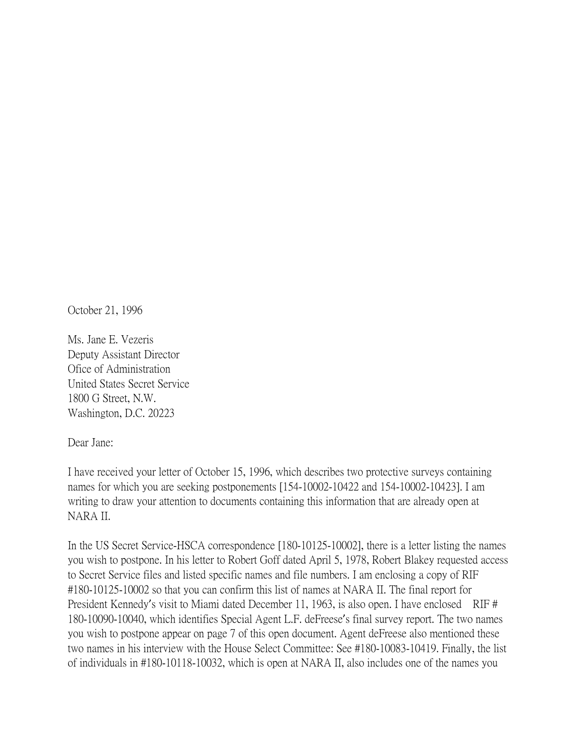October 21, 1996

Ms. Jane E. Vezeris Deputy Assistant Director Ofice of Administration United States Secret Service 1800 G Street, N.W. Washington, D.C. 20223

Dear Jane:

I have received your letter of October 15, 1996, which describes two protective surveys containing names for which you are seeking postponements [154-10002-10422 and 154-10002-10423]. I am writing to draw your attention to documents containing this information that are already open at NARA II.

In the US Secret Service-HSCA correspondence [180-10125-10002], there is a letter listing the names you wish to postpone. In his letter to Robert Goff dated April 5, 1978, Robert Blakey requested access to Secret Service files and listed specific names and file numbers. I am enclosing a copy of RIF #180-10125-10002 so that you can confirm this list of names at NARA II. The final report for President Kennedy's visit to Miami dated December 11, 1963, is also open. I have enclosed RIF # 180-10090-10040, which identifies Special Agent L.F. deFreese's final survey report. The two names you wish to postpone appear on page 7 of this open document. Agent deFreese also mentioned these two names in his interview with the House Select Committee: See #180-10083-10419. Finally, the list of individuals in #180-10118-10032, which is open at NARA II, also includes one of the names you